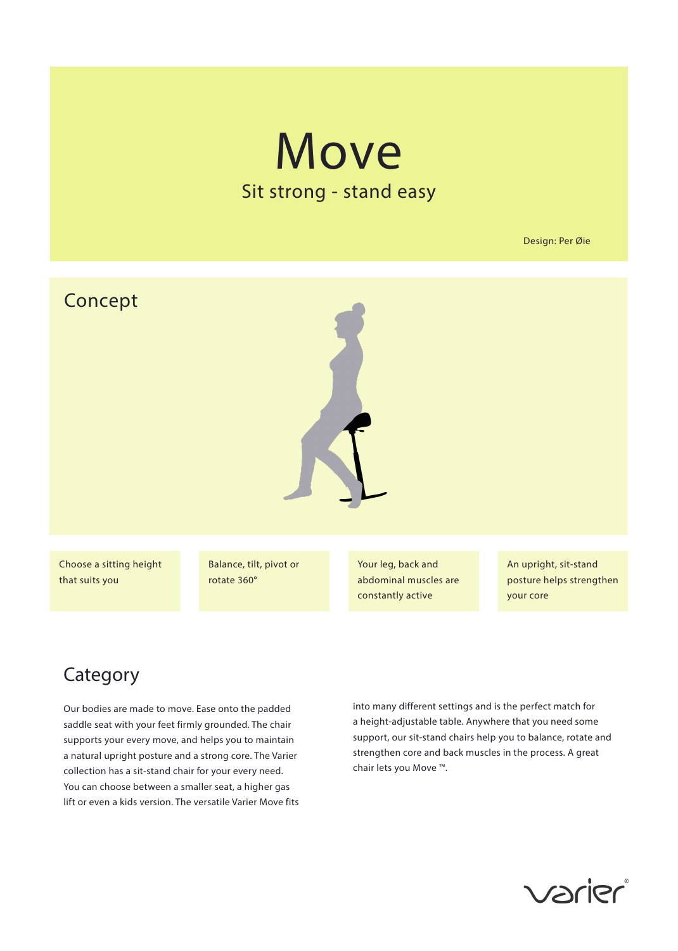# **Move** Sit strong - stand easy

Design: Per Øie



Choose a sitting height that suits you

Balance, tilt, pivot or rotate 360°

Your leg, back and abdominal muscles are constantly active

An upright, sit-stand posture helps strengthen your core

# Category

Our bodies are made to move. Ease onto the padded saddle seat with your feet firmly grounded. The chair supports your every move, and helps you to maintain a natural upright posture and a strong core. The Varier collection has a sit-stand chair for your every need. You can choose between a smaller seat, a higher gas lift or even a kids version. The versatile Varier Move fits

into many different settings and is the perfect match for a height-adjustable table. Anywhere that you need some support, our sit-stand chairs help you to balance, rotate and strengthen core and back muscles in the process. A great chair lets you Move ™.

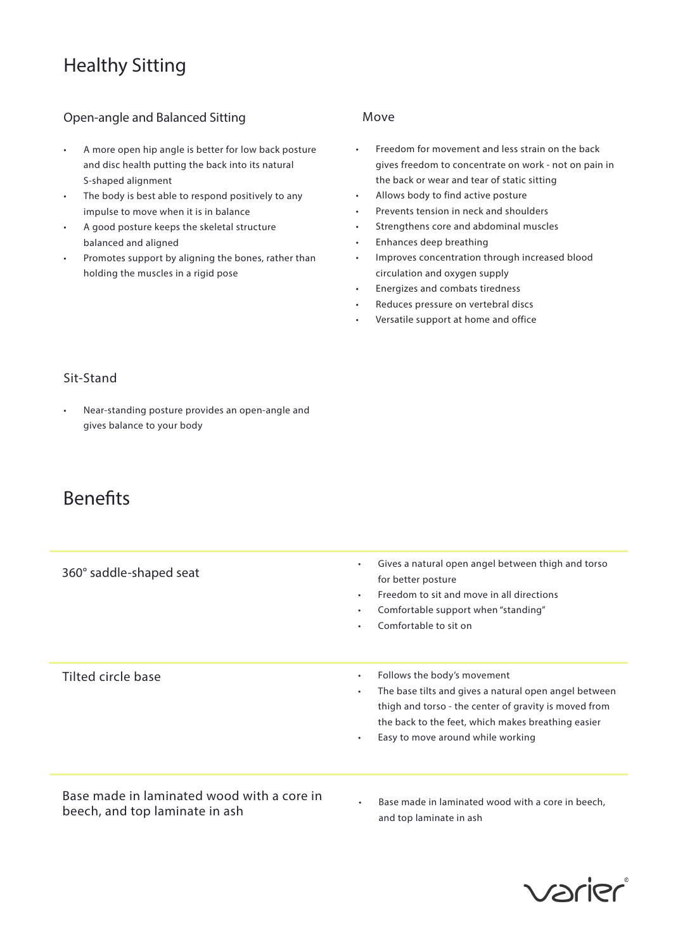# Healthy Sitting

#### Open-angle and Balanced Sitting

- A more open hip angle is better for low back posture and disc health putting the back into its natural S-shaped alignment
- The body is best able to respond positively to any impulse to move when it is in balance
- A good posture keeps the skeletal structure balanced and aligned
- Promotes support by aligning the bones, rather than holding the muscles in a rigid pose

#### Move

- Freedom for movement and less strain on the back gives freedom to concentrate on work - not on pain in the back or wear and tear of static sitting
- Allows body to find active posture
- Prevents tension in neck and shoulders
- Strengthens core and abdominal muscles
- Enhances deep breathing
- Improves concentration through increased blood circulation and oxygen supply
- Energizes and combats tiredness
- Reduces pressure on vertebral discs
- Versatile support at home and office

#### Sit-Stand

• Near-standing posture provides an open-angle and gives balance to your body

### Benefits

| 360° saddle-shaped seat                                                      | Gives a natural open angel between thigh and torso<br>$\bullet$<br>for better posture<br>Freedom to sit and move in all directions<br>$\bullet$<br>Comfortable support when "standing"<br>$\bullet$<br>Comfortable to sit on<br>$\bullet$                                       |
|------------------------------------------------------------------------------|---------------------------------------------------------------------------------------------------------------------------------------------------------------------------------------------------------------------------------------------------------------------------------|
| Tilted circle base                                                           | Follows the body's movement<br>$\bullet$<br>The base tilts and gives a natural open angel between<br>$\bullet$<br>thigh and torso - the center of gravity is moved from<br>the back to the feet, which makes breathing easier<br>Easy to move around while working<br>$\bullet$ |
| Base made in laminated wood with a core in<br>beech, and top laminate in ash | Base made in laminated wood with a core in beech.<br>$\bullet$<br>and top laminate in ash                                                                                                                                                                                       |

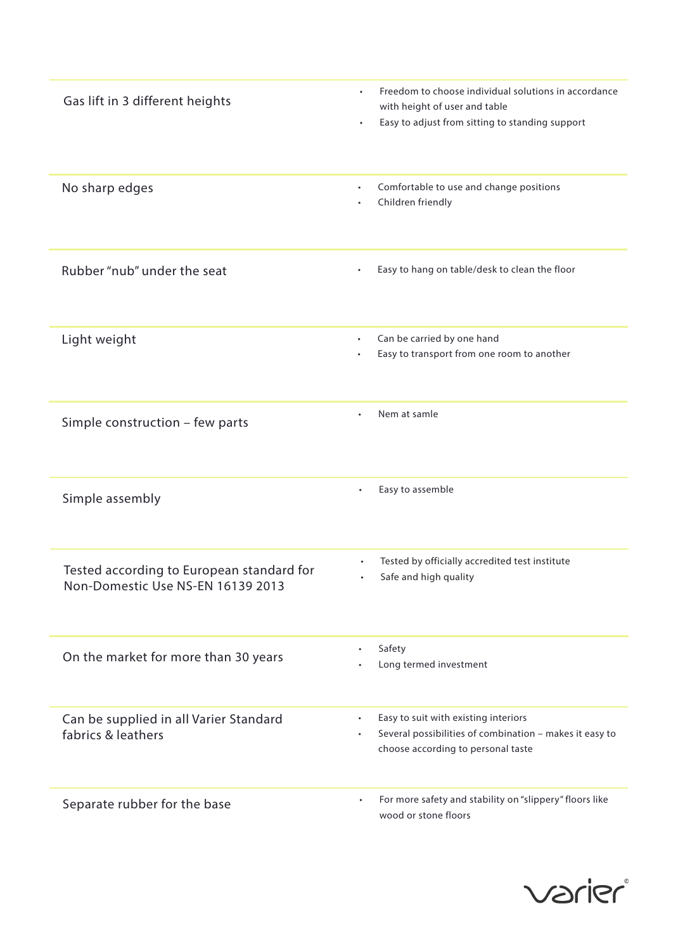| Gas lift in 3 different heights                                                | Freedom to choose individual solutions in accordance<br>٠<br>with height of user and table<br>Easy to adjust from sitting to standing support<br>$\bullet$      |
|--------------------------------------------------------------------------------|-----------------------------------------------------------------------------------------------------------------------------------------------------------------|
| No sharp edges                                                                 | Comfortable to use and change positions<br>Children friendly                                                                                                    |
| Rubber "nub" under the seat                                                    | Easy to hang on table/desk to clean the floor<br>$\bullet$                                                                                                      |
| Light weight                                                                   | Can be carried by one hand<br>$\bullet$<br>Easy to transport from one room to another                                                                           |
| Simple construction - few parts                                                | Nem at samle                                                                                                                                                    |
| Simple assembly                                                                | Easy to assemble<br>٠                                                                                                                                           |
| Tested according to European standard for<br>Non-Domestic Use NS-EN 16139 2013 | Tested by officially accredited test institute<br>$\bullet$<br>Safe and high quality                                                                            |
| On the market for more than 30 years                                           | Safety<br>$\bullet$<br>Long termed investment                                                                                                                   |
| Can be supplied in all Varier Standard<br>fabrics & leathers                   | Easy to suit with existing interiors<br>$\bullet$<br>Several possibilities of combination - makes it easy to<br>$\bullet$<br>choose according to personal taste |
| Separate rubber for the base                                                   | For more safety and stability on "slippery" floors like<br>$\bullet$<br>wood or stone floors                                                                    |

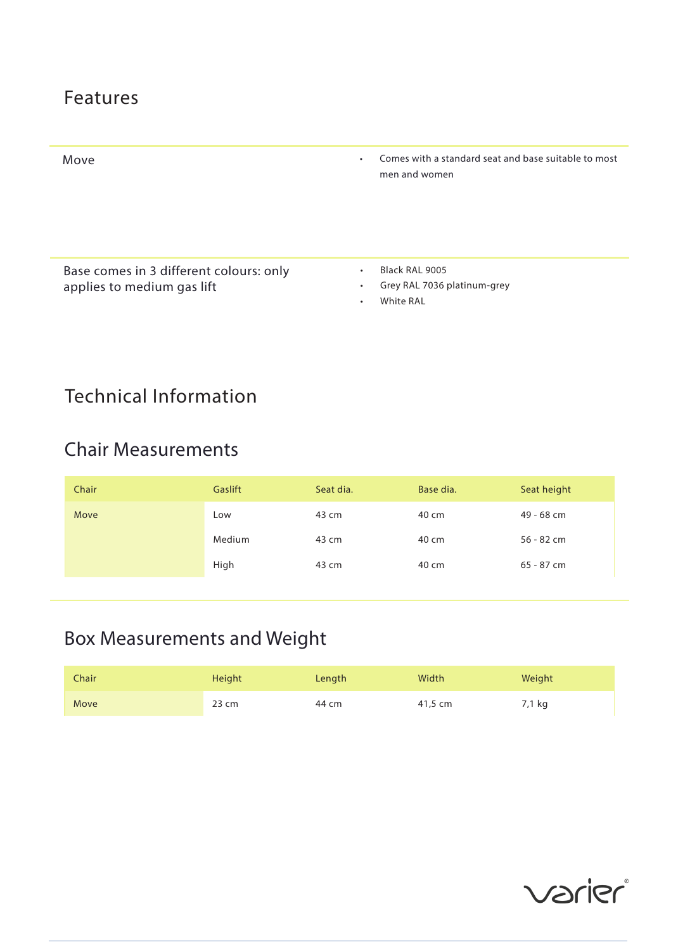## Features



Base comes in 3 different colours: only applies to medium gas lift

- Black RAL 9005
- Grey RAL 7036 platinum-grey
- White RAL

# Technical Information

## Chair Measurements

| Chair | Gaslift | Seat dia. | Base dia. | Seat height  |
|-------|---------|-----------|-----------|--------------|
| Move  | LOW     | 43 cm     | 40 cm     | 49 - 68 cm   |
|       | Medium  | 43 cm     | 40 cm     | $56 - 82$ cm |
|       | High    | 43 cm     | 40 cm     | $65 - 87$ cm |

# Box Measurements and Weight

| Chair | Height | Length | Width   | Weight |
|-------|--------|--------|---------|--------|
| Move  | 23 cm  | 44 cm  | 41,5 cm | 7,1 kg |